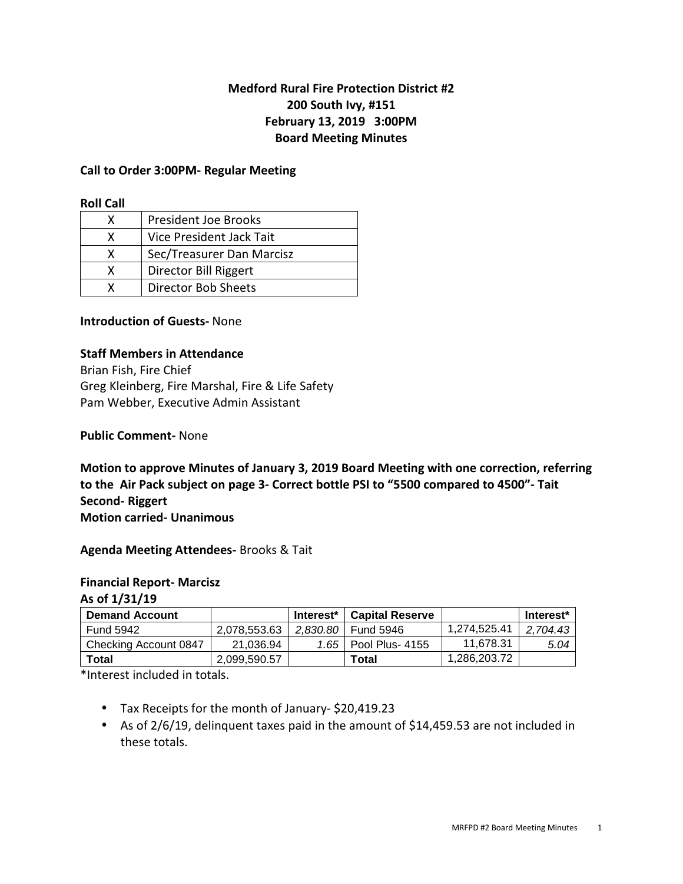# **Medford Rural Fire Protection District #2 200 South Ivy, #151 February 13, 2019 3:00PM Board Meeting Minutes**

#### **Call to Order 3:00PM- Regular Meeting**

#### **Roll Call**

| x | <b>President Joe Brooks</b> |
|---|-----------------------------|
| x | Vice President Jack Tait    |
| x | Sec/Treasurer Dan Marcisz   |
| x | Director Bill Riggert       |
|   | Director Bob Sheets         |

#### **Introduction of Guests-** None

#### **Staff Members in Attendance**

Brian Fish, Fire Chief Greg Kleinberg, Fire Marshal, Fire & Life Safety Pam Webber, Executive Admin Assistant

#### **Public Comment-** None

**Motion to approve Minutes of January 3, 2019 Board Meeting with one correction, referring to the Air Pack subject on page 3- Correct bottle PSI to "5500 compared to 4500"- Tait Second- Riggert Motion carried- Unanimous** 

**Agenda Meeting Attendees-** Brooks & Tait

#### **Financial Report- Marcisz**

**As of 1/31/19** 

| <b>Demand Account</b> |              | Interest <sup>*</sup> | <b>Capital Reserve</b> |              | Interest* |
|-----------------------|--------------|-----------------------|------------------------|--------------|-----------|
| <b>Fund 5942</b>      | 2.078.553.63 | 2.830.80              | Fund 5946              | 1.274.525.41 | 2.704.43  |
| Checking Account 0847 | 21.036.94    | 1.65                  | Pool Plus- 4155        | 11.678.31    | 5.04      |
| Total                 | 2.099.590.57 |                       | Total                  | 1.286.203.72 |           |

\*Interest included in totals.

- Tax Receipts for the month of January- \$20,419.23
- As of 2/6/19, delinquent taxes paid in the amount of \$14,459.53 are not included in these totals.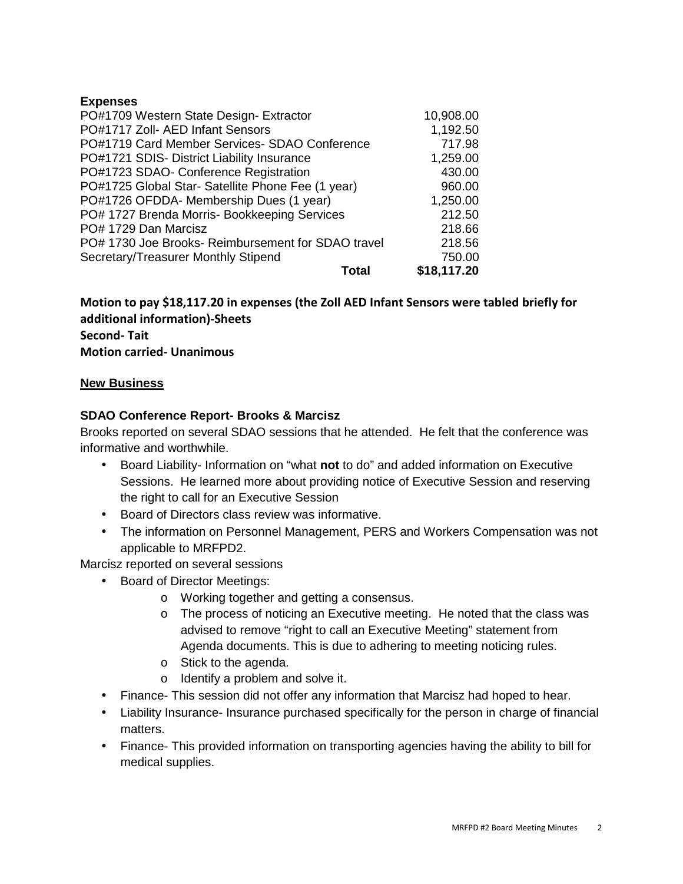# **Expenses**

| PO#1709 Western State Design- Extractor            | 10,908.00   |
|----------------------------------------------------|-------------|
| PO#1717 Zoll- AED Infant Sensors                   | 1,192.50    |
| PO#1719 Card Member Services- SDAO Conference      | 717.98      |
| PO#1721 SDIS- District Liability Insurance         | 1,259.00    |
| PO#1723 SDAO- Conference Registration              | 430.00      |
| PO#1725 Global Star- Satellite Phone Fee (1 year)  | 960.00      |
| PO#1726 OFDDA- Membership Dues (1 year)            | 1,250.00    |
| PO# 1727 Brenda Morris- Bookkeeping Services       | 212.50      |
| PO# 1729 Dan Marcisz                               | 218.66      |
| PO# 1730 Joe Brooks- Reimbursement for SDAO travel | 218.56      |
| Secretary/Treasurer Monthly Stipend                | 750.00      |
| <b>Total</b>                                       | \$18,117.20 |

# **Motion to pay \$18,117.20 in expenses (the Zoll AED Infant Sensors were tabled briefly for additional information)-Sheets Second- Tait Motion carried- Unanimous**

## **New Business**

## **SDAO Conference Report- Brooks & Marcisz**

Brooks reported on several SDAO sessions that he attended. He felt that the conference was informative and worthwhile.

- Board Liability- Information on "what **not** to do" and added information on Executive Sessions. He learned more about providing notice of Executive Session and reserving the right to call for an Executive Session
- Board of Directors class review was informative.
- The information on Personnel Management, PERS and Workers Compensation was not applicable to MRFPD2.

Marcisz reported on several sessions

- Board of Director Meetings:
	- o Working together and getting a consensus.
	- o The process of noticing an Executive meeting. He noted that the class was advised to remove "right to call an Executive Meeting" statement from Agenda documents. This is due to adhering to meeting noticing rules.
	- o Stick to the agenda.
	- o Identify a problem and solve it.
- Finance- This session did not offer any information that Marcisz had hoped to hear.
- Liability Insurance- Insurance purchased specifically for the person in charge of financial matters.
- Finance- This provided information on transporting agencies having the ability to bill for medical supplies.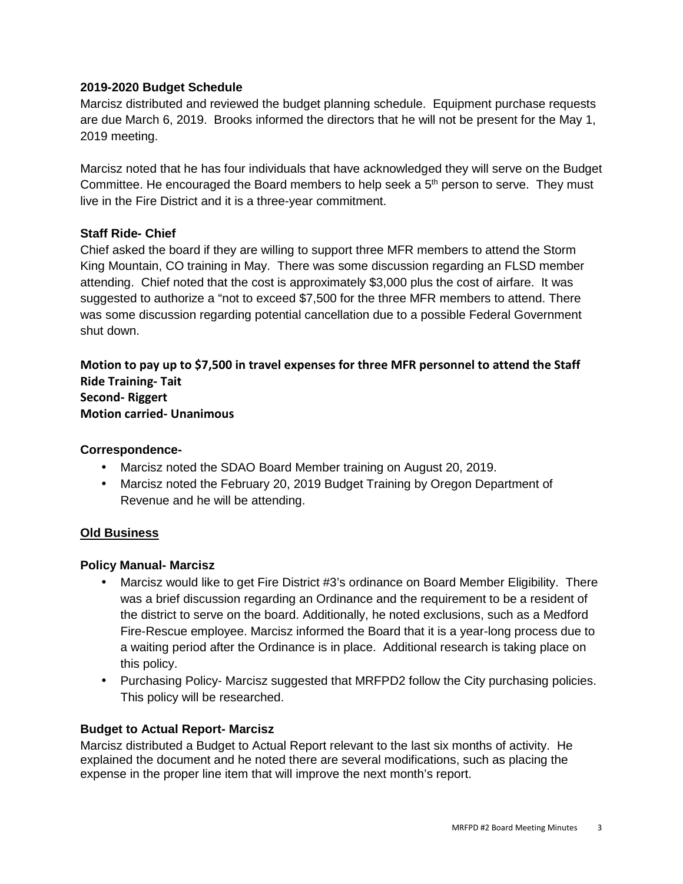# **2019-2020 Budget Schedule**

Marcisz distributed and reviewed the budget planning schedule. Equipment purchase requests are due March 6, 2019. Brooks informed the directors that he will not be present for the May 1, 2019 meeting.

Marcisz noted that he has four individuals that have acknowledged they will serve on the Budget Committee. He encouraged the Board members to help seek a  $5<sup>th</sup>$  person to serve. They must live in the Fire District and it is a three-year commitment.

## **Staff Ride- Chief**

Chief asked the board if they are willing to support three MFR members to attend the Storm King Mountain, CO training in May. There was some discussion regarding an FLSD member attending. Chief noted that the cost is approximately \$3,000 plus the cost of airfare. It was suggested to authorize a "not to exceed \$7,500 for the three MFR members to attend. There was some discussion regarding potential cancellation due to a possible Federal Government shut down.

**Motion to pay up to \$7,500 in travel expenses for three MFR personnel to attend the Staff Ride Training- Tait Second- Riggert Motion carried- Unanimous** 

## **Correspondence-**

- Marcisz noted the SDAO Board Member training on August 20, 2019.
- Marcisz noted the February 20, 2019 Budget Training by Oregon Department of Revenue and he will be attending.

## **Old Business**

## **Policy Manual- Marcisz**

- Marcisz would like to get Fire District #3's ordinance on Board Member Eligibility. There was a brief discussion regarding an Ordinance and the requirement to be a resident of the district to serve on the board. Additionally, he noted exclusions, such as a Medford Fire-Rescue employee. Marcisz informed the Board that it is a year-long process due to a waiting period after the Ordinance is in place. Additional research is taking place on this policy.
- Purchasing Policy- Marcisz suggested that MRFPD2 follow the City purchasing policies. This policy will be researched.

## **Budget to Actual Report- Marcisz**

Marcisz distributed a Budget to Actual Report relevant to the last six months of activity. He explained the document and he noted there are several modifications, such as placing the expense in the proper line item that will improve the next month's report.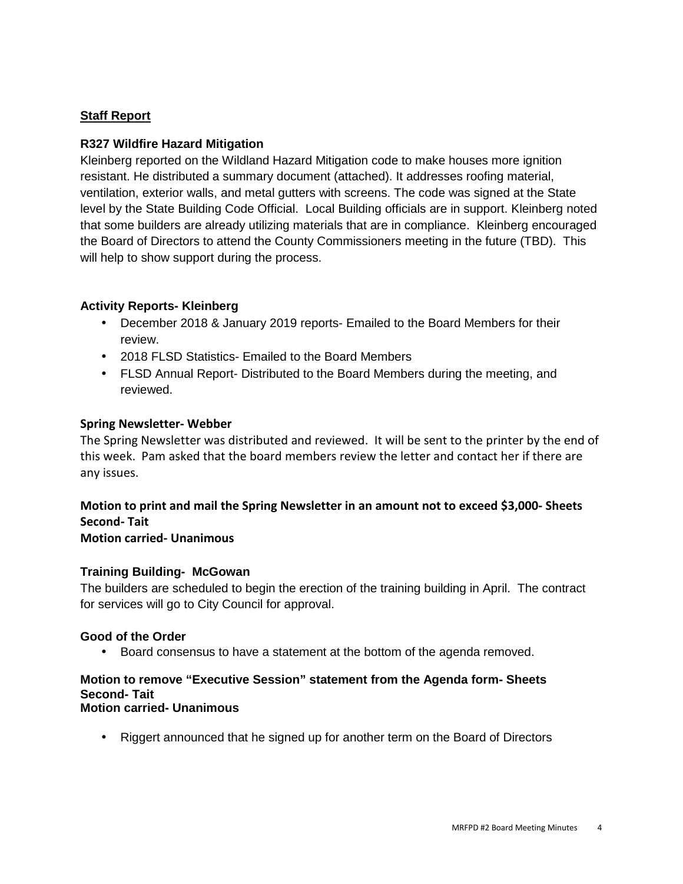# **Staff Report**

## **R327 Wildfire Hazard Mitigation**

Kleinberg reported on the Wildland Hazard Mitigation code to make houses more ignition resistant. He distributed a summary document (attached). It addresses roofing material, ventilation, exterior walls, and metal gutters with screens. The code was signed at the State level by the State Building Code Official. Local Building officials are in support. Kleinberg noted that some builders are already utilizing materials that are in compliance. Kleinberg encouraged the Board of Directors to attend the County Commissioners meeting in the future (TBD). This will help to show support during the process.

# **Activity Reports- Kleinberg**

- December 2018 & January 2019 reports- Emailed to the Board Members for their review.
- 2018 FLSD Statistics- Emailed to the Board Members
- FLSD Annual Report- Distributed to the Board Members during the meeting, and reviewed.

#### **Spring Newsletter- Webber**

The Spring Newsletter was distributed and reviewed. It will be sent to the printer by the end of this week. Pam asked that the board members review the letter and contact her if there are any issues.

# **Motion to print and mail the Spring Newsletter in an amount not to exceed \$3,000- Sheets Second- Tait**

## **Motion carried- Unanimous**

## **Training Building- McGowan**

The builders are scheduled to begin the erection of the training building in April. The contract for services will go to City Council for approval.

#### **Good of the Order**

• Board consensus to have a statement at the bottom of the agenda removed.

# **Motion to remove "Executive Session" statement from the Agenda form- Sheets Second- Tait**

# **Motion carried- Unanimous**

• Riggert announced that he signed up for another term on the Board of Directors